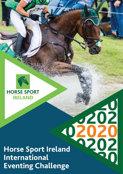



# November 1984 Horse Sport Ireland **International Eventing Challenge**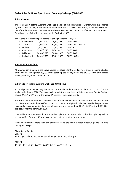## **Series Rules for Horse Sport Ireland Eventing Challenge (CIM) 2020**

### **1. Introduction**

The **Horse Sport Ireland Eventing Challenge** is a link of Irish International Events which is sponsored by Horse Sport Ireland, the IRL National Federation. This is a Lower Level Series, as defined by the FEI, therefore the CIM (Concours International Mineur) events which are classified as CCI 3\* (L & S) FEI Eventing events fall within the scope of the Series for 2020.

The Events in the Horse Sport Ireland Eventing Challenge (CIM) are:

| $\bullet$ | <b>Ballindenisk</b> | 23/04/2020 | 26/04/2020 | CCI3* S OR L             |
|-----------|---------------------|------------|------------|--------------------------|
| $\bullet$ | Tattersalls         | 27/05/2020 | 31/05/2020 | CCI3* L or CCI3*u25      |
| $\bullet$ | Mallow              | 1/07/2020  | 05/07/2020 | $CCI3*S$                 |
| $\bullet$ | Cappoquin           | 29/07/2020 | 2/08/2020  | CCI3* S OR L             |
| $\bullet$ | Millstreet          | 26/08/2020 | 30/08/2020 | CCI3* S OR L             |
| $\bullet$ | <b>Ballindenisk</b> | 24/09/2020 | 29/09/2020 | CCI3 <sup>*</sup> L OR S |
|           |                     |            |            |                          |

#### **2. Participating Athletes**

All athletes participating in the above classes are eligible for the leading rider prizes including €10,000 to the overall leading rider, €3,000 to the second place leading rider, and €1,500 to the third placed leading rider regardless of nationality.

#### **3. Horse Sport Ireland Eventing Challenge (CIM) Bonus**

To be eligible for the winning the above bonuses the athletes must be placed  $1^{st}$ ,  $2^{nd}$  or  $3^{rd}$  in the leading rider league 2020. The league will include the above listed Irish International Events. Podium placed ( $1^{st}$ ,  $2^{nd}$  or  $3^{rd}$ ) in 3 of the above  $3^*$  classes at the above events.

The Bonus will not be confined to specific horse/rider combinations i.e. athletes can win the Bonuses on different horses in the specified classes. In order to be eligible for the leading rider league horses may not have competed in a long format class at a level higher than CCI3\* (CCI4\* or L or CCI5\*-L) in the last 18 months before Jan 2020.

If an athlete secures more than one podium place at an event only his/her best placing will be accounted for. Only one 3\* result can be taken into account per event/venue.

In the eventuality of more than one athlete securing the same number of league points the prize money will be split.

Allocation of Points: CCI  $3*$  S  $1^{st}$  = 12 pts;  $2^{nd}$  = 10 pts;  $3^{rd}$  = 8 pts,  $4^{th}$  = 6 pts,  $5^{th}$  = 4pts,  $6^{th}$  = 2pts.  $CCI$  3 $*$  L  $1^{\text{st}} = 16$ ,  $2^{\text{nd}} = 14$ ,  $3^{\text{rd}} = 12$ ,  $4^{\text{th}} = 10$ ,  $5^{\text{th}} = 8$ ,  $6^{\text{th}} = 6$ ,  $7^{\text{th}} = 4$ ,  $8^{\text{th}} = 2$